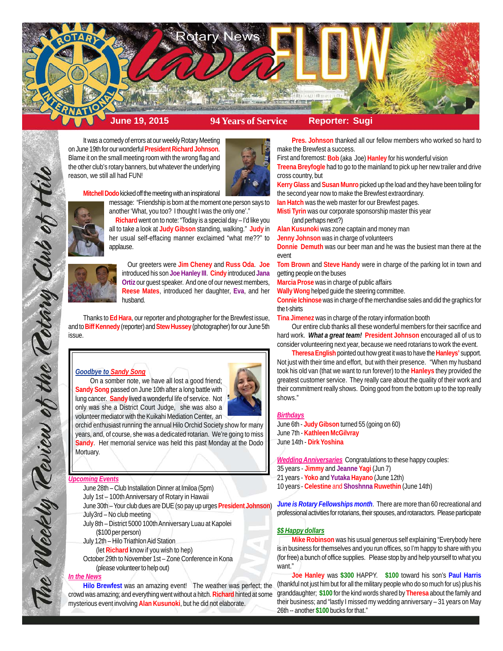

It was a comedy of errors at our weekly Rotary Meeting on June 19th for our wonderful **President Richard Johnson**. Blame it on the small meeting room with the wrong flag and the other club's rotary banners, but whatever the underlying reason, we still all had FUN!



**Mitchell Dodo** kicked off the meeting with an inspirational

message: "Friendship is born at the moment one person says to another 'What, you too? I thought I was the only one'."



**Richard** went on to note: "Today is a special day – I'd like you all to take a look at **Judy Gibson** standing, walking." **Judy** in her usual self-effacing manner exclaimed "what me??" to applause.

Our greeters were **Jim Cheney** and **Russ Oda**. **Joe** introduced his son **Joe Hanley III**. **Cindy** introduced **Jana Ortiz** our guest speaker. And one of our newest members, **Reese Mates**, introduced her daughter, **Eva**, and her husband.

Thanks to **Ed Hara**, our reporter and photographer for the Brewfest issue, and to **Biff Kennedy** (reporter) and **Stew Hussey** (photographer) for our June 5th issue.

## *Goodbye to Sandy Song*

On a somber note, we have all lost a good friend; **Sandy Song** passed on June 10th after a long battle with lung cancer. **Sandy** lived a wonderful life of service. Not only was she a District Court Judge, she was also a volunteer mediator with the Kuikahi Mediation Center, an



orchid enthusiast running the annual Hilo Orchid Society show for many years, and, of course, she was a dedicated rotarian. We're going to miss **Sandy**. Her memorial service was held this past Monday at the Dodo Mortuary.

# *Upcoming Events*

The Weekly Teview of the Tekary Club of Hil

June 28th – Club Installation Dinner at Imiloa (5pm)

July 1st – 100th Anniversary of Rotary in Hawaii

- June 30th Your club dues are DUE (so pay up urges **President Johnson**) July3rd – No club meeting
- July 8th District 5000 100th Anniversary Luau at Kapolei (\$100 per person)
- July 12th Hilo Triathlon Aid Station
	- (let **Richard** know if you wish to hep)
- October 29th to November 1st Zone Conference in Kona (please volunteer to help out)

# *In the News*

**Hilo Brewfest** was an amazing event! The weather was perfect; the crowd was amazing; and everything went without a hitch. **Richard** hinted at some mysterious event involving **Alan Kusunoki**, but he did not elaborate.

**Pres. Johnson** thanked all our fellow members who worked so hard to make the Brewfest a success.

First and foremost: **Bob** (aka Joe) **Hanley** for his wonderful vision

**Treena Breyfogle** had to go to the mainland to pick up her new trailer and drive cross country, but

**Kerry Glass** and **Susan Munro** picked up the load and they have been toiling for the second year now to make the Brewfest extraordinary.

**Ian Hatch** was the web master for our Brewfest pages.

**Misti Tyrin** was our corporate sponsorship master this year (and perhaps next?)

**Alan Kusunoki** was zone captain and money man

**Jenny Johnson** was in charge of volunteers

**Donnie Demuth** was our beer man and he was the busiest man there at the event

**Tom Brown** and **Steve Handy** were in charge of the parking lot in town and getting people on the buses

**Marcia Prose** was in charge of public affairs

**Wally Wong** helped guide the steering committee.

**Connie Ichinose** was in charge of the merchandise sales and did the graphics for the t-shirts

**Tina Jimenez** was in charge of the rotary information booth

Our entire club thanks all these wonderful members for their sacrifice and hard work. *What a great team!* **President Johnson** encouraged all of us to consider volunteering next year, because we need rotarians to work the event.

**Theresa English** pointed out how great it was to have the **Hanleys'** support. Not just with their time and effort, but with their presence. "When my husband took his old van (that we want to run forever) to the **Hanleys** they provided the greatest customer service. They really care about the quality of their work and their commitment really shows. Doing good from the bottom up to the top really shows."

#### *Birthdays*

June 6th - **Judy Gibson** turned 55 (going on 60) June 7th - **Kathleen McGilvray** June 14th - **Dirk Yoshina**

*Wedding Anniversaries* Congratulations to these happy couples: 35 years - **Jimmy** and **Jeanne Yagi** (Jun 7) 21 years - **Yoko** and **Yutaka Hayano** (June 12th) 10 years - **Celestine** and **Shoshnna Ruwethin** (June 14th)

June is Rotary Fellowships month. There are more than 60 recreational and professional activities for rotarians, their spouses, and rotaractors. Please participate

## *\$\$ Happy dollars*

**Mike Robinson** was his usual generous self explaining "Everybody here is in business for themselves and you run offices, so I'm happy to share with you (for free) a bunch of office supplies. Please stop by and help yourself to what you want."

**Joe Hanley** was **\$300** HAPPY. **\$100** toward his son's **Paul Harris** (thankful not just him but for all the military people who do so much for us) plus his granddaughter; **\$100** for the kind words shared by **Theresa** about the family and their business; and "lastly I missed my wedding anniversary – 31 years on May 26th -- another **\$100** bucks for that."